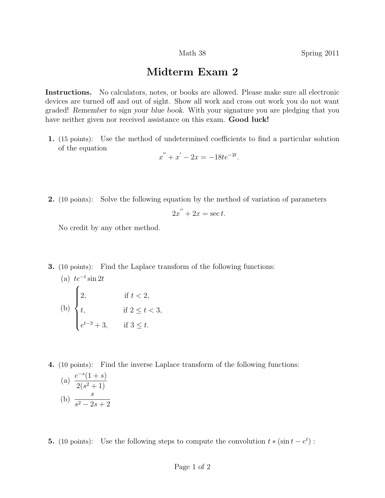## Midterm Exam 2

Instructions. No calculators, notes, or books are allowed. Please make sure all electronic devices are turned off and out of sight. Show all work and cross out work you do not want graded! Remember to sign your blue book. With your signature you are pledging that you have neither given nor received assistance on this exam. **Good luck!** 

1. (15 points): Use the method of undetermined coefficients to find a particular solution of the equation

$$
x'' + x' - 2x = -18te^{-2t}.
$$

2. (10 points): Solve the following equation by the method of variation of parameters

$$
2x'' + 2x = \sec t.
$$

No credit by any other method.

3. (10 points): Find the Laplace transform of the following functions:

(a) 
$$
te^{-t} \sin 2t
$$
  
\n(b) 
$$
\begin{cases}\n2, & \text{if } t < 2, \\
t, & \text{if } 2 \le t < 3, \\
e^{t-3} + 3, & \text{if } 3 \le t.\n\end{cases}
$$

4. (10 points): Find the inverse Laplace transform of the following functions:

(a) 
$$
\frac{e^{-s}(1+s)}{2(s^2+1)}
$$
  
(b) 
$$
\frac{s}{s^2-2s+2}
$$

−s

**5.** (10 points): Use the following steps to compute the convolution  $t * (\sin t - e^t)$ :